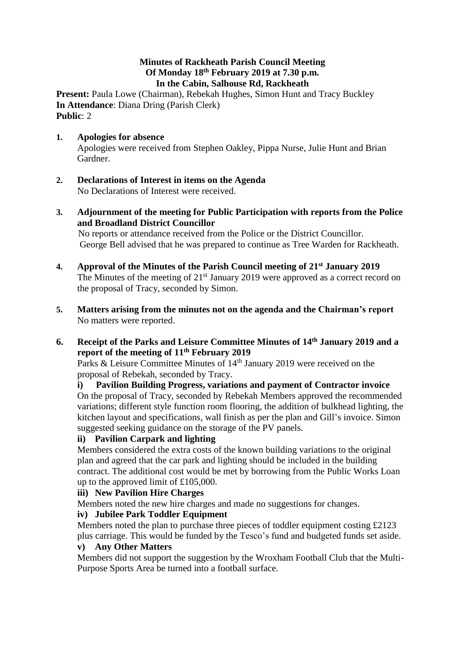### **Minutes of Rackheath Parish Council Meeting Of Monday 18th February 2019 at 7.30 p.m. In the Cabin, Salhouse Rd, Rackheath**

**Present: Paula Lowe (Chairman), Rebekah Hughes, Simon Hunt and Tracy Buckley In Attendance**: Diana Dring (Parish Clerk) **Public**: 2

- **1. Apologies for absence**  Apologies were received from Stephen Oakley, Pippa Nurse, Julie Hunt and Brian Gardner.
- **2. Declarations of Interest in items on the Agenda** No Declarations of Interest were received.
- **3. Adjournment of the meeting for Public Participation with reports from the Police and Broadland District Councillor**

 No reports or attendance received from the Police or the District Councillor. George Bell advised that he was prepared to continue as Tree Warden for Rackheath.

- **4. Approval of the Minutes of the Parish Council meeting of 21st January 2019** The Minutes of the meeting of  $21<sup>st</sup>$  January 2019 were approved as a correct record on the proposal of Tracy, seconded by Simon.
- **5. Matters arising from the minutes not on the agenda and the Chairman's report** No matters were reported.
- **6. Receipt of the Parks and Leisure Committee Minutes of 14th January 2019 and a report of the meeting of 11th February 2019**

Parks & Leisure Committee Minutes of 14<sup>th</sup> January 2019 were received on the proposal of Rebekah, seconded by Tracy.

**i) Pavilion Building Progress, variations and payment of Contractor invoice** On the proposal of Tracy, seconded by Rebekah Members approved the recommended variations; different style function room flooring, the addition of bulkhead lighting, the kitchen layout and specifications, wall finish as per the plan and Gill's invoice. Simon suggested seeking guidance on the storage of the PV panels.

# **ii) Pavilion Carpark and lighting**

Members considered the extra costs of the known building variations to the original plan and agreed that the car park and lighting should be included in the building contract. The additional cost would be met by borrowing from the Public Works Loan up to the approved limit of £105,000.

# **iii) New Pavilion Hire Charges**

Members noted the new hire charges and made no suggestions for changes.

# **iv) Jubilee Park Toddler Equipment**

Members noted the plan to purchase three pieces of toddler equipment costing £2123 plus carriage. This would be funded by the Tesco's fund and budgeted funds set aside.

# **v) Any Other Matters**

Members did not support the suggestion by the Wroxham Football Club that the Multi-Purpose Sports Area be turned into a football surface.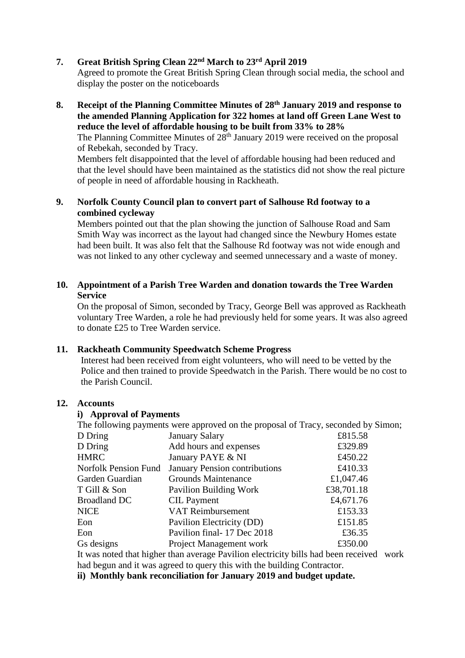### **7. Great British Spring Clean 22nd March to 23rd April 2019**

Agreed to promote the Great British Spring Clean through social media, the school and display the poster on the noticeboards

**8. Receipt of the Planning Committee Minutes of 28th January 2019 and response to the amended Planning Application for 322 homes at land off Green Lane West to reduce the level of affordable housing to be built from 33% to 28%**

The Planning Committee Minutes of  $28<sup>th</sup>$  January 2019 were received on the proposal of Rebekah, seconded by Tracy.

Members felt disappointed that the level of affordable housing had been reduced and that the level should have been maintained as the statistics did not show the real picture of people in need of affordable housing in Rackheath.

# **9. Norfolk County Council plan to convert part of Salhouse Rd footway to a combined cycleway**

Members pointed out that the plan showing the junction of Salhouse Road and Sam Smith Way was incorrect as the layout had changed since the Newbury Homes estate had been built. It was also felt that the Salhouse Rd footway was not wide enough and was not linked to any other cycleway and seemed unnecessary and a waste of money.

### **10. Appointment of a Parish Tree Warden and donation towards the Tree Warden Service**

On the proposal of Simon, seconded by Tracy, George Bell was approved as Rackheath voluntary Tree Warden, a role he had previously held for some years. It was also agreed to donate £25 to Tree Warden service.

# **11. Rackheath Community Speedwatch Scheme Progress**

Interest had been received from eight volunteers, who will need to be vetted by the Police and then trained to provide Speedwatch in the Parish. There would be no cost to the Parish Council.

#### **12. Accounts**

#### **i) Approval of Payments**

The following payments were approved on the proposal of Tracy, seconded by Simon;

| D Dring              | <b>January Salary</b>                | £815.58    |
|----------------------|--------------------------------------|------------|
| D Dring              | Add hours and expenses               | £329.89    |
| <b>HMRC</b>          | January PAYE & NI                    | £450.22    |
| Norfolk Pension Fund | <b>January Pension contributions</b> | £410.33    |
| Garden Guardian      | <b>Grounds Maintenance</b>           | £1,047.46  |
| T Gill & Son         | Pavilion Building Work               | £38,701.18 |
| <b>Broadland DC</b>  | <b>CIL Payment</b>                   | £4,671.76  |
| <b>NICE</b>          | <b>VAT Reimbursement</b>             | £153.33    |
| Eon                  | Pavilion Electricity (DD)            | £151.85    |
| Eon                  | Pavilion final-17 Dec 2018           | £36.35     |
| Gs designs           | <b>Project Management work</b>       | £350.00    |
|                      |                                      |            |

It was noted that higher than average Pavilion electricity bills had been received work had begun and it was agreed to query this with the building Contractor.

**ii) Monthly bank reconciliation for January 2019 and budget update.**